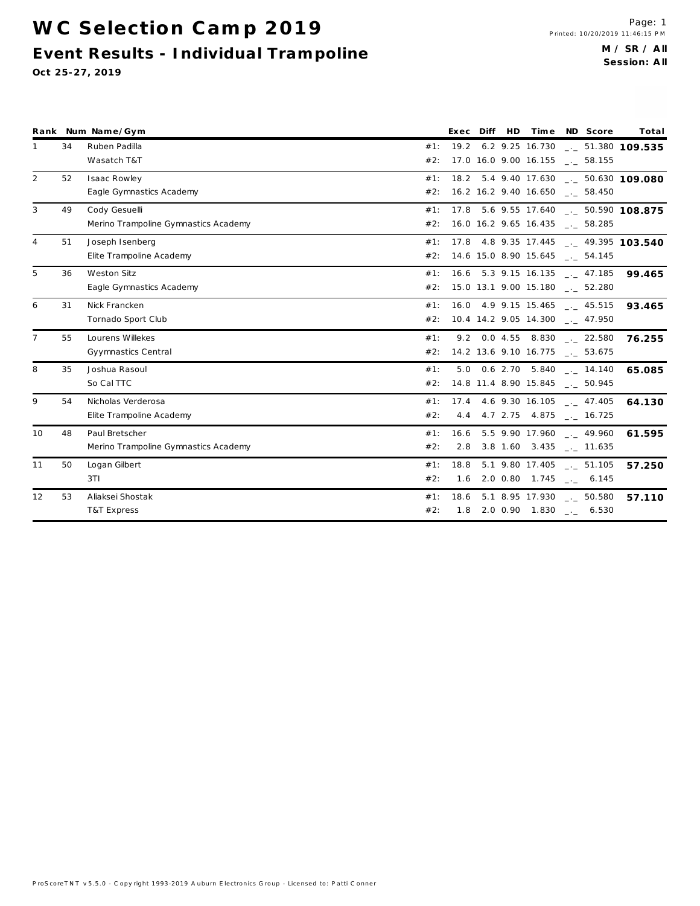WC Selection Camp 2019 **Event Results - Individua l Tra m poline**

|                |    | Rank Num Name/Gym                    |        |      |  | Exec Diff HD Time ND Score              | Total                                   |
|----------------|----|--------------------------------------|--------|------|--|-----------------------------------------|-----------------------------------------|
| 1              | 34 | Ruben Padilla                        | #1:    |      |  |                                         | 19.2 6.2 9.25 16.730 ___ 51.380 109.535 |
|                |    | Wasatch T&T                          | #2:    |      |  | 17.0 16.0 9.00 16.155 __ 58.155         |                                         |
| $\overline{2}$ | 52 | Isaac Rowley                         | #1:    |      |  |                                         | 18.2 5.4 9.40 17.630 ___ 50.630 109.080 |
|                |    | Eagle Gymnastics Academy             |        |      |  | #2: 16.2 16.2 9.40 16.650 __ 58.450     |                                         |
| 3              | 49 | Cody Gesuelli                        | #1:    |      |  |                                         | 17.8 5.6 9.55 17.640 . 50.590 108.875   |
|                |    | Merino Trampoline Gymnastics Academy |        |      |  | #2: 16.0 16.2 9.65 16.435 __ 58.285     |                                         |
| 4              | 51 | Joseph Isenberg                      | #1:    |      |  |                                         | 17.8 4.8 9.35 17.445  49.395 103.540    |
|                |    | Elite Trampoline Academy             |        |      |  | #2: 14.6 15.0 8.90 15.645 __ 54.145     |                                         |
| 5              | 36 | Weston Sitz                          | #1:    |      |  |                                         | 16.6 5.3 9.15 16.135 ___ 47.185 99.465  |
|                |    | Eagle Gymnastics Academy             |        |      |  | #2: 15.0 13.1 9.00 15.180 __ 52.280     |                                         |
| 6              | 31 | Nick Francken                        | #1:    |      |  |                                         | 16.0 4.9 9.15 15.465 __ 45.515 93.465   |
|                |    | Tornado Sport Club                   | #2:    |      |  | $10.4$ 14.2 9.05 14.300 $\ldots$ 47.950 |                                         |
| $\overline{7}$ | 55 | Lourens Willekes                     | #1:    |      |  | 9.2 0.0 4.55 8.830 . 22.580             | 76.255                                  |
|                |    | Gyymnastics Central                  | #2:    |      |  | 14.2 13.6 9.10 16.775 __ 53.675         |                                         |
| 8              | 35 | Joshua Rasoul                        | #1:    |      |  | 5.0 0.6 2.70 5.840 . 14.140             | 65.085                                  |
|                |    | So Cal TTC                           | #2:    |      |  | 14.8 11.4 8.90 15.845 __ 50.945         |                                         |
| 9              | 54 | Nicholas Verderosa                   | #1:    |      |  |                                         | 17.4 4.6 9.30 16.105 . 47.405 64.130    |
|                |    | Elite Trampoline Academy             | #2:    |      |  | 4.4 4.7 2.75 4.875 __ 16.725            |                                         |
| 10             | 48 | Paul Bretscher                       | $#1$ : |      |  | $16.6$ 5.5 9.90 17.960 $-.$ 49.960      | 61.595                                  |
|                |    | Merino Trampoline Gymnastics Academy | #2:    |      |  | 2.8 3.8 1.60 3.435 __ 11.635            |                                         |
| 11             | 50 | Logan Gilbert                        | $#1$ : | 18.8 |  | $5.1$ 9.80 17.405 $\ldots$ 51.105       | 57.250                                  |
|                |    | 3T1                                  | #2:    |      |  | $1.6$ 2.0 0.80 1.745 $\qquad$ . 6.145   |                                         |
| 12             | 53 | Aliaksei Shostak                     | #1:    |      |  | $18.6$ 5.1 8.95 17.930 $\ldots$ 50.580  | 57.110                                  |
|                |    | T&T Express                          | #2:    |      |  | $1.8$ 2.0 0.90 1.830 $-.6530$           |                                         |